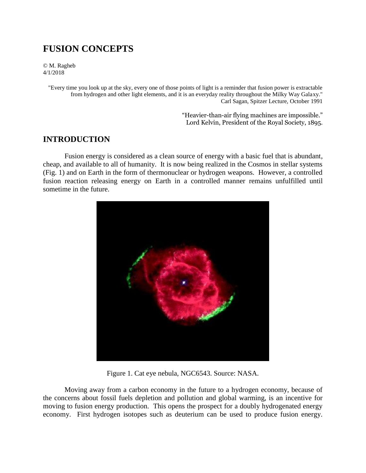# **FUSION CONCEPTS**

© M. Ragheb 4/1/2018

> "Every time you look up at the sky, every one of those points of light is a reminder that fusion power is extractable from hydrogen and other light elements, and it is an everyday reality throughout the Milky Way Galaxy." Carl Sagan, Spitzer Lecture, October 1991

> > "Heavier-than-air flying machines are impossible." Lord Kelvin, President of the Royal Society, 1895.

## **INTRODUCTION**

Fusion energy is considered as a clean source of energy with a basic fuel that is abundant, cheap, and available to all of humanity. It is now being realized in the Cosmos in stellar systems (Fig. 1) and on Earth in the form of thermonuclear or hydrogen weapons. However, a controlled fusion reaction releasing energy on Earth in a controlled manner remains unfulfilled until sometime in the future.



Figure 1. Cat eye nebula, NGC6543. Source: NASA.

Moving away from a carbon economy in the future to a hydrogen economy, because of the concerns about fossil fuels depletion and pollution and global warming, is an incentive for moving to fusion energy production. This opens the prospect for a doubly hydrogenated energy economy. First hydrogen isotopes such as deuterium can be used to produce fusion energy.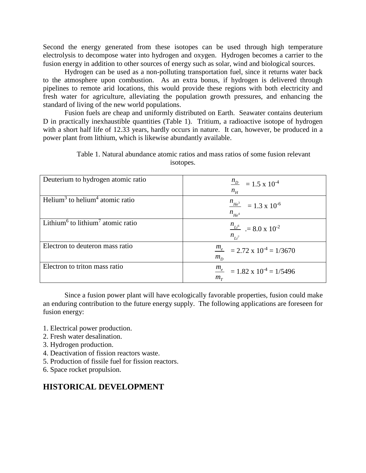Second the energy generated from these isotopes can be used through high temperature electrolysis to decompose water into hydrogen and oxygen. Hydrogen becomes a carrier to the fusion energy in addition to other sources of energy such as solar, wind and biological sources.

Hydrogen can be used as a non-polluting transportation fuel, since it returns water back to the atmosphere upon combustion. As an extra bonus, if hydrogen is delivered through pipelines to remote arid locations, this would provide these regions with both electricity and fresh water for agriculture, alleviating the population growth pressures, and enhancing the standard of living of the new world populations.

Fusion fuels are cheap and uniformly distributed on Earth. Seawater contains deuterium D in practically inexhaustible quantities (Table 1). Tritium, a radioactive isotope of hydrogen with a short half life of 12.33 years, hardly occurs in nature. It can, however, be produced in a power plant from lithium, which is likewise abundantly available.

| Deuterium to hydrogen atomic ratio                        | $\frac{n_D}{m}$ = 1.5 x 10 <sup>-4</sup><br>$n_{H}$                  |
|-----------------------------------------------------------|----------------------------------------------------------------------|
| Helium <sup>3</sup> to helium <sup>4</sup> atomic ratio   | $\frac{n_{He^3}}{2}$ = 1.3 x 10 <sup>-6</sup><br>$n_{He^4}$          |
| Lithium <sup>6</sup> to lithium <sup>7</sup> atomic ratio | $\frac{n_{Li^6}}{2}$ = 8.0 x 10 <sup>-2</sup><br>$n_{\overline{i}i}$ |
| Electron to deuteron mass ratio                           | $\frac{m_e}{m_e}$ = 2.72 x 10 <sup>-4</sup> = 1/3670<br>$m_D$        |
| Electron to triton mass ratio                             | $\frac{m_e}{m_e}$ = 1.82 x 10 <sup>-4</sup> = 1/5496<br>$m_T$        |

Table 1. Natural abundance atomic ratios and mass ratios of some fusion relevant isotopes.

Since a fusion power plant will have ecologically favorable properties, fusion could make an enduring contribution to the future energy supply. The following applications are foreseen for fusion energy:

- 1. Electrical power production.
- 2. Fresh water desalination.
- 3. Hydrogen production.
- 4. Deactivation of fission reactors waste.
- 5. Production of fissile fuel for fission reactors.
- 6. Space rocket propulsion.

# **HISTORICAL DEVELOPMENT**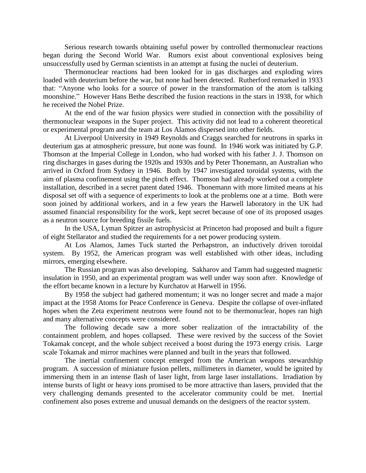Serious research towards obtaining useful power by controlled thermonuclear reactions began during the Second World War. Rumors exist about conventional explosives being unsuccessfully used by German scientists in an attempt at fusing the nuclei of deuterium.

Thermonuclear reactions had been looked for in gas discharges and exploding wires loaded with deuterium before the war, but none had been detected. Rutherford remarked in 1933 that: "Anyone who looks for a source of power in the transformation of the atom is talking moonshine." However Hans Bethe described the fusion reactions in the stars in 1938, for which he received the Nobel Prize.

At the end of the war fusion physics were studied in connection with the possibility of thermonuclear weapons in the Super project. This activity did not lead to a coherent theoretical or experimental program and the team at Los Alamos dispersed into other fields.

At Liverpool University in 1949 Reynolds and Craggs searched for neutrons in sparks in deuterium gas at atmospheric pressure, but none was found. In 1946 work was initiated by G.P. Thomson at the Imperial College in London, who had worked with his father J. J. Thomson on ring discharges in gases during the 1920s and 1930s and by Peter Thonemann, an Australian who arrived in Oxford from Sydney in 1946. Both by 1947 investigated toroidal systems, with the aim of plasma confinement using the pinch effect. Thomson had already worked out a complete installation, described in a secret patent dated 1946. Thonemann with more limited means at his disposal set off with a sequence of experiments to look at the problems one at a time. Both were soon joined by additional workers, and in a few years the Harwell laboratory in the UK had assumed financial responsibility for the work, kept secret because of one of its proposed usages as a neutron source for breeding fissile fuels.

In the USA, Lyman Spitzer an astrophysicist at Princeton had proposed and built a figure of eight Stellarator and studied the requirements for a net power producing system.

At Los Alamos, James Tuck started the Perhapstron, an inductively driven toroidal system. By 1952, the American program was well established with other ideas, including mirrors, emerging elsewhere.

The Russian program was also developing. Sakharov and Tamm had suggested magnetic insulation in 1950, and an experimental program was well under way soon after. Knowledge of the effort became known in a lecture by Kurchatov at Harwell in 1956.

By 1958 the subject had gathered momentum; it was no longer secret and made a major impact at the 1958 Atoms for Peace Conference in Geneva. Despite the collapse of over-inflated hopes when the Zeta experiment neutrons were found not to be thermonuclear, hopes ran high and many alternative concepts were considered.

The following decade saw a more sober realization of the intractability of the containment problem, and hopes collapsed. These were revived by the success of the Soviet Tokamak concept, and the whole subject received a boost during the 1973 energy crisis. Large scale Tokamak and mirror machines were planned and built in the years that followed.

The inertial confinement concept emerged from the American weapons stewardship program. A succession of miniature fusion pellets, millimeters in diameter, would be ignited by immersing them in an intense flash of laser light, from large laser installations. Irradiation by intense bursts of light or heavy ions promised to be more attractive than lasers, provided that the very challenging demands presented to the accelerator community could be met. Inertial confinement also poses extreme and unusual demands on the designers of the reactor system.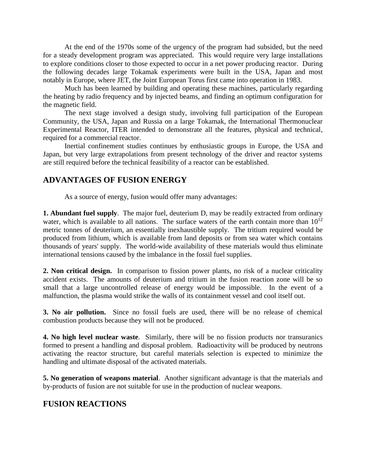At the end of the 1970s some of the urgency of the program had subsided, but the need for a steady development program was appreciated. This would require very large installations to explore conditions closer to those expected to occur in a net power producing reactor. During the following decades large Tokamak experiments were built in the USA, Japan and most notably in Europe, where JET, the Joint European Torus first came into operation in 1983.

Much has been learned by building and operating these machines, particularly regarding the heating by radio frequency and by injected beams, and finding an optimum configuration for the magnetic field.

The next stage involved a design study, involving full participation of the European Community, the USA, Japan and Russia on a large Tokamak, the International Thermonuclear Experimental Reactor, ITER intended to demonstrate all the features, physical and technical, required for a commercial reactor.

Inertial confinement studies continues by enthusiastic groups in Europe, the USA and Japan, but very large extrapolations from present technology of the driver and reactor systems are still required before the technical feasibility of a reactor can be established.

# **ADVANTAGES OF FUSION ENERGY**

As a source of energy, fusion would offer many advantages:

**1. Abundant fuel supply**. The major fuel, deuterium D, may be readily extracted from ordinary water, which is available to all nations. The surface waters of the earth contain more than  $10^{12}$ metric tonnes of deuterium, an essentially inexhaustible supply. The tritium required would be produced from lithium, which is available from land deposits or from sea water which contains thousands of years' supply. The world-wide availability of these materials would thus eliminate international tensions caused by the imbalance in the fossil fuel supplies.

**2. Non critical design.** In comparison to fission power plants, no risk of a nuclear criticality accident exists. The amounts of deuterium and tritium in the fusion reaction zone will be so small that a large uncontrolled release of energy would be impossible. In the event of a malfunction, the plasma would strike the walls of its containment vessel and cool itself out.

**3. No air pollution.** Since no fossil fuels are used, there will be no release of chemical combustion products because they will not be produced.

**4. No high level nuclear waste**. Similarly, there will be no fission products nor transuranics formed to present a handling and disposal problem. Radioactivity will be produced by neutrons activating the reactor structure, but careful materials selection is expected to minimize the handling and ultimate disposal of the activated materials.

**5. No generation of weapons material**. Another significant advantage is that the materials and by-products of fusion are not suitable for use in the production of nuclear weapons.

## **FUSION REACTIONS**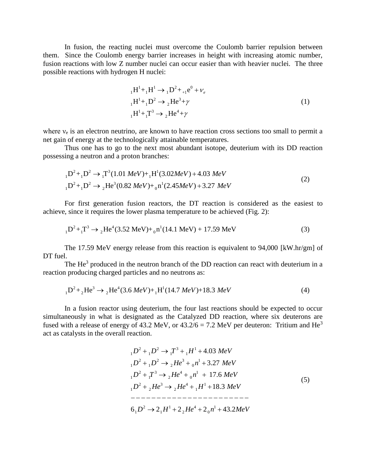In fusion, the reacting nuclei must overcome the Coulomb barrier repulsion between them. Since the Coulomb energy barrier increases in height with increasing atomic number, fusion reactions with low Z number nuclei can occur easier than with heavier nuclei. The three possible reactions with hydrogen H nuclei:

$$
{}_{1}H^{1} + {}_{1}H^{1} \rightarrow {}_{1}D^{2} + {}_{+1}e^{0} + \nu_{e}
$$
  
\n
$$
{}_{1}H^{1} + {}_{1}D^{2} \rightarrow {}_{2}He^{3} + \gamma
$$
  
\n
$$
{}_{1}H^{1} + {}_{1}T^{3} \rightarrow {}_{2}He^{4} + \gamma
$$
\n(1)

where  $v_e$  is an electron neutrino, are known to have reaction cross sections too small to permit a net gain of energy at the technologically attainable temperatures.

Thus one has to go to the next most abundant isotope, deuterium with its DD reaction

possessing a neutron and a proton branches:  
\n
$$
{}_{1}D^{2} + {}_{1}D^{2} \rightarrow {}_{1}T^{3}(1.01 \text{ MeV}) + {}_{1}H^{1}(3.02 \text{MeV}) + 4.03 \text{ MeV}
$$
  
\n ${}_{1}D^{2} + {}_{1}D^{2} \rightarrow {}_{2}He^{3}(0.82 \text{ MeV}) + {}_{0}n^{1}(2.45 \text{MeV}) + 3.27 \text{ MeV}$  (2)

For first generation fusion reactors, the DT reaction is considered as the easiest to

achieve, since it requires the lower plasma temperature to be achieved (Fig. 2):  
\n
$$
{}_{1}D^{2} + {}_{1}T^{3} \rightarrow {}_{2}He^{4}(3.52 \text{ MeV}) + {}_{0}n^{1}(14.1 \text{ MeV}) + 17.59 \text{ MeV}
$$
\n(3)

The 17.59 MeV energy release from this reaction is equivalent to 94,000 [kW.hr/gm] of DT fuel.

The  $He<sup>3</sup>$  produced in the neutron branch of the DD reaction can react with deuterium in a

reaction producing charged particles and no neutrons as:  
\n
$$
{}_{1}D^{2} + {}_{2}He^{3} \rightarrow {}_{2}He^{4}(3.6 \ MeV) + {}_{1}H^{1}(14.7 \ MeV) + 18.3 \ MeV
$$
 (4)

In a fusion reactor using deuterium, the four last reactions should be expected to occur simultaneously in what is designated as the Catalyzed DD reaction, where six deuterons are fused with a release of energy of 43.2 MeV, or  $43.2/6 = 7.2$  MeV per deuteron: Tritium and He<sup>3</sup> act as catalysts in the overall reaction.

$$
{}_{1}D^{2} + {}_{1}D^{2} \rightarrow {}_{1}T^{3} + {}_{1}H^{1} + 4.03 \text{ MeV}
$$
  
\n
$$
{}_{1}D^{2} + {}_{1}D^{2} \rightarrow {}_{2}He^{3} + {}_{0}n^{1} + 3.27 \text{ MeV}
$$
  
\n
$$
{}_{1}D^{2} + {}_{1}T^{3} \rightarrow {}_{2}He^{4} + {}_{0}n^{1} + 17.6 \text{ MeV}
$$
  
\n
$$
{}_{1}D^{2} + {}_{2}He^{3} \rightarrow {}_{2}He^{4} + {}_{1}H^{1} + 18.3 \text{ MeV}
$$
  
\n
$$
{}_{1}D^{2} + {}_{2}He^{3} \rightarrow {}_{2}He^{4} + {}_{1}H^{1} + 18.3 \text{ MeV}
$$
  
\n
$$
{}_{1}D^{2} + {}_{2}He^{3} \rightarrow {}_{2}He^{4} + {}_{2}n^{1} + 43.2 \text{MeV}
$$
  
\n(5)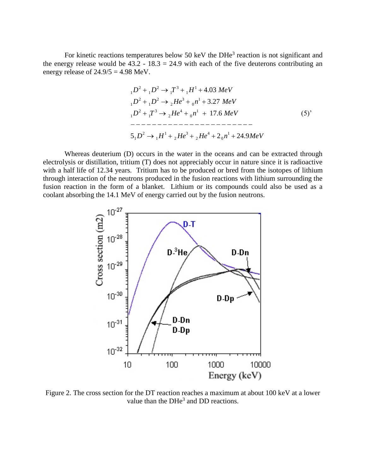For kinetic reactions temperatures below 50 keV the DHe<sup>3</sup> reaction is not significant and the energy release would be  $43.2 - 18.3 = 24.9$  with each of the five deuterons contributing an energy release of  $24.9/5 = 4.98$  MeV.

$$
{}_{1}D^{2} + {}_{1}D^{2} \rightarrow {}_{1}T^{3} + {}_{1}H^{1} + 4.03 \text{ MeV}
$$
  
\n
$$
{}_{1}D^{2} + {}_{1}D^{2} \rightarrow {}_{2}He^{3} + {}_{0}n^{1} + 3.27 \text{ MeV}
$$
  
\n
$$
{}_{1}D^{2} + {}_{1}T^{3} \rightarrow {}_{2}He^{4} + {}_{0}n^{1} + 17.6 \text{ MeV}
$$
  
\n
$$
{}_{1}D^{2} + {}_{1}T^{3} \rightarrow {}_{2}He^{4} + {}_{0}n^{1} + 17.6 \text{ MeV}
$$
  
\n
$$
{}_{2}D^{2} \rightarrow {}_{1}H^{1} + {}_{2}He^{3} + {}_{2}He^{4} + 2{}_{0}n^{1} + 24.9 \text{ MeV}
$$
  
\n(5)

Whereas deuterium (D) occurs in the water in the oceans and can be extracted through electrolysis or distillation, tritium (T) does not appreciably occur in nature since it is radioactive with a half life of 12.34 years. Tritium has to be produced or bred from the isotopes of lithium through interaction of the neutrons produced in the fusion reactions with lithium surrounding the fusion reaction in the form of a blanket. Lithium or its compounds could also be used as a coolant absorbing the 14.1 MeV of energy carried out by the fusion neutrons.



Figure 2. The cross section for the DT reaction reaches a maximum at about 100 keV at a lower value than the  $DHe<sup>3</sup>$  and DD reactions.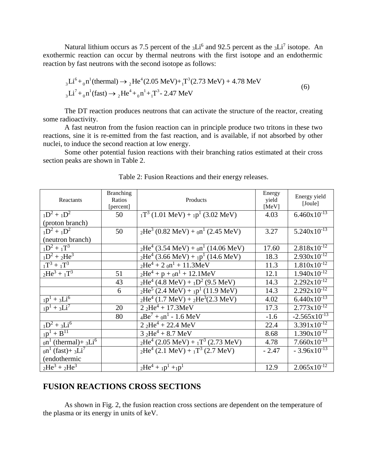Natural lithium occurs as 7.5 percent of the  $_3Li^6$  and 92.5 percent as the  $_3Li^7$  isotope. An exothermic reaction can occur by thermal neutrons with the first isotope and an endothermic reaction by fast neutrons with the second isotope as follows:<br>  $\mathbf{Li}^6 + \mathbf{n}^1$ (thermal)  $\rightarrow \mathbf{H}e^4(2.05 \text{ MeV}) + \mathbf{T}^3(2.73 \text{ MeV}))$ 

by fast neutrons with the second isotope as follows:  
\n
$$
{}_{3}Li^{6} + {}_{0}n^{1}(\text{thermal}) \rightarrow {}_{2}\text{He}^{4}(2.05 \text{ MeV}) + {}_{1}\text{T}^{3}(2.73 \text{ MeV}) + 4.78 \text{ MeV}
$$
\n
$$
{}_{3}\text{Li}^{7} + {}_{0}\text{n}^{1}(\text{fast}) \rightarrow {}_{2}\text{He}^{4} + {}_{0}\text{n}^{1} + {}_{1}\text{T}^{3} - 2.47 \text{ MeV}
$$
\n(6)

The DT reaction produces neutrons that can activate the structure of the reactor, creating some radioactivity.

A fast neutron from the fusion reaction can in principle produce two tritons in these two reactions, sine it is re-emitted from the fast reaction, and is available, if not absorbed by other nuclei, to induce the second reaction at low energy.

Some other potential fusion reactions with their branching ratios estimated at their cross section peaks are shown in Table 2.

| Reactants                                                     | <b>Branching</b><br>Ratios<br>[percent] | Products                                               | Energy<br>yield<br>[MeV] | Energy yield<br>[Joule]  |
|---------------------------------------------------------------|-----------------------------------------|--------------------------------------------------------|--------------------------|--------------------------|
| $1D^2 + 1D^2$                                                 | 50                                      | $_{1}T^{3}$ (1.01 MeV) + $_{1}p^{1}$ (3.02 MeV)        | 4.03                     | $6.460 \times 10^{-13}$  |
| (proton branch)                                               |                                         |                                                        |                          |                          |
| $1D^2 + 1D^2$                                                 | 50                                      | $_{2}He^{3}$ (0.82 MeV) + $_{0}n^{1}$ (2.45 MeV)       | 3.27                     | $5.240 \times 10^{-13}$  |
| (neutron branch)                                              |                                         |                                                        |                          |                          |
| $1D^2 + 1T^3$                                                 |                                         | $_{2}He^{4}$ (3.54 MeV) + $_{0}n^{1}$ (14.06 MeV)      | 17.60                    | $2.818 \times 10^{-12}$  |
| $1D^2 + 2He^3$                                                |                                         | $_{2}He^{4}$ (3.66 MeV) + $_{1}p^{1}$ (14.6 MeV)       | 18.3                     | $2.930 \times 10^{-12}$  |
| $T^3 + T^3$                                                   |                                         | $_{2}He^{4} + 2_{0}n^{1} + 11.3MeV$                    | 11.3                     | $1.810 \times 10^{-12}$  |
| $2He^{3} + 1T^{3}$                                            | 51                                      | $_{2}He^{4} + p +_{0}n^{1} + 12.1MeV$                  | 12.1                     | $1.940x10^{-12}$         |
|                                                               | 43                                      | $_{2}He^{4}$ (4.8 MeV) + $_{1}D^{2}$ (9.5 MeV)         | 14.3                     | $2.292 \times 10^{-12}$  |
|                                                               | 6                                       | $_{2}He^{5}$ (2.4 MeV) + $_{1}p^{1}$ (11.9 MeV)        | 14.3                     | $2.292 \times 10^{-12}$  |
| $_{1}p^{1} + _{3}Li^{6}$                                      |                                         | $_{2}He^{4}$ (1.7 MeV) + $_{2}He^{3}(2.3 \text{ MeV})$ | 4.02                     | $6.440x10^{-13}$         |
| $1p^{1} + 3Li^{7}$                                            | 20                                      | $2.2$ He <sup>4</sup> + 17.3MeV                        | 17.3                     | $2.773 \times 10^{-12}$  |
|                                                               | 80                                      | $4Be^7 + 0n^1 - 1.6 MeV$                               | $-1.6$                   | $-2.565 \times 10^{-13}$ |
| $1D^2 + 3Li^6$                                                |                                         | $2.2$ He <sup>4</sup> + 22.4 MeV                       | 22.4                     | $3.391x10^{-12}$         |
| $_{1}p^{1} + B^{11}$                                          |                                         | $3.2$ He <sup>4</sup> + 8.7 MeV                        | 8.68                     | $1.390x10^{-12}$         |
| $_{0}$ n <sup>1</sup> (thermal)+ <sub>3</sub> Li <sup>6</sup> |                                         | $_{2}He^{4}$ (2.05 MeV) + $_{1}T^{3}$ (2.73 MeV)       | 4.78                     | $7.660 \times 10^{-13}$  |
| $_{0}$ n <sup>1</sup> (fast)+ <sub>3</sub> Li <sup>7</sup>    |                                         | $_{2}He^{4}$ (2.1 MeV) + $_{1}T^{3}$ (2.7 MeV)         | $-2.47$                  | $-3.96x10^{-13}$         |
| (endothermic                                                  |                                         |                                                        |                          |                          |
| $2He^{3} + 2He^{3}$                                           |                                         | $_{2}He^{4} + _{1}p^{1} + _{1}p^{1}$                   | 12.9                     | $2.065 \times 10^{-12}$  |

Table 2: Fusion Reactions and their energy releases.

#### **FUSION REACTIONS CROSS SECTIONS**

As shown in Fig. 2, the fusion reaction cross sections are dependent on the temperature of the plasma or its energy in units of keV.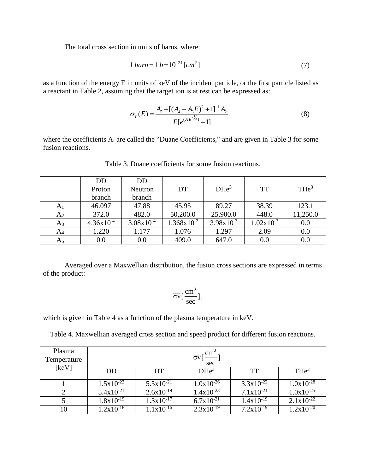The total cross section in units of barns, where:

$$
1 barn = 1 b = 10^{-24} [cm2] \tag{7}
$$

as a function of the energy E in units of keV of the incident particle, or the first particle listed as a reactant in Table 2, assuming that the target ion is at rest can be expressed as:

$$
\sigma_T(E) = \frac{A_5 + [(A_4 - A_3 E)^2 + 1]^{-1} A_2}{E[e^{(A_4 E^{-1/2})} - 1]}
$$
\n(8)

where the coefficients A<sub>i</sub> are called the "Duane Coefficients," and are given in Table 3 for some fusion reactions.

|                | <b>DD</b>      | <b>DD</b>      |                        |                  |                       |                  |
|----------------|----------------|----------------|------------------------|------------------|-----------------------|------------------|
|                | Proton         | Neutron        | <b>DT</b>              | DHe <sup>3</sup> | <b>TT</b>             | THE <sup>3</sup> |
|                | branch         | branch         |                        |                  |                       |                  |
| A <sub>1</sub> | 46.097         | 47.88          | 45.95                  | 89.27            | 38.39                 | 123.1            |
| A <sub>2</sub> | 372.0          | 482.0          | 50,200.0               | 25,900.0         | 448.0                 | 11,250.0         |
| $A_3$          | $4.36x10^{-4}$ | $3.08x10^{-4}$ | $1.368 \times 10^{-2}$ | $3.98x10^{-3}$   | $1.02 \times 10^{-3}$ | 0.0              |
| $A_4$          | 1.220          | 1.177          | 1.076                  | 1.297            | 2.09                  | 0.0              |
| A5             | 0.0            | 0.0            | 409.0                  | 647.0            | 0.0                   | 0.0              |
|                |                |                |                        |                  |                       |                  |

Table 3. Duane coefficients for some fusion reactions.

Averaged over a Maxwellian distribution, the fusion cross sections are expressed in terms of the product:

$$
\overline{\sigma v} \left[ \frac{cm^3}{sec} \right],
$$

which is given in Table 4 as a function of the plasma temperature in keV.

Table 4. Maxwellian averaged cross section and speed product for different fusion reactions.

| Plasma<br>Temperature | $\overline{\sigma v}$ [ $\frac{\text{cm}^3}{\sigma v}$ ]<br>sec |                |                  |                       |                       |
|-----------------------|-----------------------------------------------------------------|----------------|------------------|-----------------------|-----------------------|
| [keV]                 | DD                                                              | DT             | DHe <sup>3</sup> | <b>TT</b>             | THE <sup>3</sup>      |
|                       | $1.5x10^{-22}$                                                  | $5.5x10^{-21}$ | $1.0x10^{-26}$   | $3.3x10^{-22}$        | $1.0x10^{-28}$        |
|                       | $5.4x10^{-21}$                                                  | $2.6x10^{-19}$ | $1.4x10^{-23}$   | $7.1 \times 10^{-21}$ | $1.0x10^{-25}$        |
|                       | $1.8x10^{-19}$                                                  | $1.3x10^{-17}$ | $6.7x10^{-21}$   | $1.4x10^{-19}$        | $2.1 \times 10^{-22}$ |
| 10                    | $1.2x10^{-18}$                                                  | $1.1x10^{-16}$ | $2.3x10^{-19}$   | $7.2 \times 10^{-19}$ | $1.2x10^{-20}$        |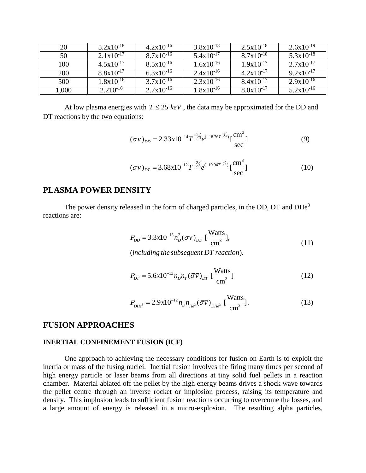| 20         | $5.2 \times 10^{-18}$ | $4.2 \times 10^{-16}$ | $3.8 \times 10^{-18}$ | $2.5x10^{-18}$        | $2.6x10^{-19}$        |
|------------|-----------------------|-----------------------|-----------------------|-----------------------|-----------------------|
| 50         | $2.1 \times 10^{-17}$ | $8.7 \times 10^{-16}$ | $5.4 \times 10^{-17}$ | $8.7 \times 10^{-18}$ | $5.3 \times 10^{-18}$ |
| 100        | $4.5x10^{-17}$        | $8.5x10^{-16}$        | $1.6x10^{-16}$        | $1.9x10^{-17}$        | $2.7 \times 10^{-17}$ |
| <b>200</b> | $8.8 \times 10^{-17}$ | $6.3x10^{-16}$        | $2.4 \times 10^{-16}$ | $4.2 \times 10^{-17}$ | $9.2 \times 10^{-17}$ |
| 500        | $1.8x10^{-16}$        | $3.7x10^{-16}$        | $2.3x10^{-16}$        | $8.4x10^{-17}$        | $2.9x10^{-16}$        |
| 1,000      | $2.210^{-16}$         | $2.7x10^{-16}$        | $1.8x10^{-16}$        | $8.0x10^{-17}$        | $5.2 \times 10^{-16}$ |

At low plasma energies with  $T \leq 25 \text{ keV}$ , the data may be approximated for the DD and DT reactions by the two equations:

$$
(\overline{\sigma v})_{DD} = 2.33x10^{-14}T^{-\frac{2}{3}}e^{(-18.76T^{-\frac{1}{3}})}\left[\frac{\text{cm}^3}{\text{sec}}\right]
$$
 (9)

$$
(\overline{\sigma v})_{DT} = 3.68x10^{-12}T^{-\frac{2}{3}}e^{(-19.94T^{-\frac{1}{3}})}\left[\frac{\text{cm}^3}{\text{sec}}\right]
$$
 (10)

#### **PLASMA POWER DENSITY**

The power density released in the form of charged particles, in the DD, DT and DHe<sup>3</sup> reactions are:

$$
P_{DD} = 3.3x10^{-13} n_D^2 (\bar{\sigma} \bar{v})_{DD} \left[ \frac{\text{Watts}}{\text{cm}^3} \right],
$$
  
(including the subsequent DT reaction). (11)

$$
P_{DT} = 5.6 \times 10^{-13} n_D n_T (\overline{\sigma v})_{DT} \left[\frac{\text{Watts}}{\text{cm}^3}\right]
$$
 (12)

$$
P_{DHe^3} = 2.9x10^{-12} n_D n_{He^3} (\overline{\sigma v})_{DHe^3} \left[ \frac{\text{Watts}}{\text{cm}^3} \right].
$$
 (13)

#### **FUSION APPROACHES**

#### **INERTIAL CONFINEMENT FUSION (ICF)**

One approach to achieving the necessary conditions for fusion on Earth is to exploit the inertia or mass of the fusing nuclei. Inertial fusion involves the firing many times per second of high energy particle or laser beams from all directions at tiny solid fuel pellets in a reaction chamber. Material ablated off the pellet by the high energy beams drives a shock wave towards the pellet centre through an inverse rocket or implosion process, raising its temperature and density. This implosion leads to sufficient fusion reactions occurring to overcome the losses, and a large amount of energy is released in a micro-explosion. The resulting alpha particles,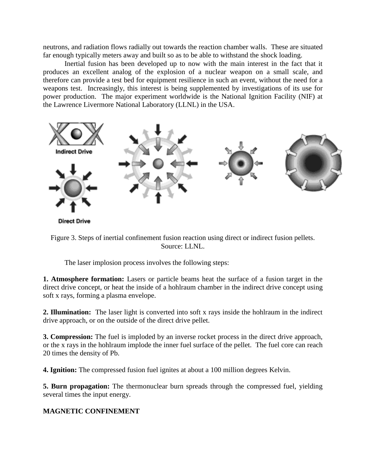neutrons, and radiation flows radially out towards the reaction chamber walls. These are situated far enough typically meters away and built so as to be able to withstand the shock loading.

Inertial fusion has been developed up to now with the main interest in the fact that it produces an excellent analog of the explosion of a nuclear weapon on a small scale, and therefore can provide a test bed for equipment resilience in such an event, without the need for a weapons test. Increasingly, this interest is being supplemented by investigations of its use for power production. The major experiment worldwide is the National Ignition Facility (NIF) at the Lawrence Livermore National Laboratory (LLNL) in the USA.



Figure 3. Steps of inertial confinement fusion reaction using direct or indirect fusion pellets. Source: LLNL.

The laser implosion process involves the following steps:

**1. Atmosphere formation:** Lasers or particle beams heat the surface of a fusion target in the direct drive concept, or heat the inside of a hohlraum chamber in the indirect drive concept using soft x rays, forming a plasma envelope.

**2. Illumination:** The laser light is converted into soft x rays inside the hohlraum in the indirect drive approach, or on the outside of the direct drive pellet.

**3. Compression:** The fuel is imploded by an inverse rocket process in the direct drive approach, or the x rays in the hohlraum implode the inner fuel surface of the pellet. The fuel core can reach 20 times the density of Pb.

**4. Ignition:** The compressed fusion fuel ignites at about a 100 million degrees Kelvin.

**5. Burn propagation:** The thermonuclear burn spreads through the compressed fuel, yielding several times the input energy.

### **MAGNETIC CONFINEMENT**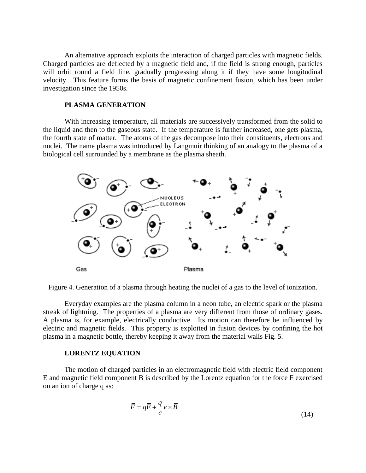An alternative approach exploits the interaction of charged particles with magnetic fields. Charged particles are deflected by a magnetic field and, if the field is strong enough, particles will orbit round a field line, gradually progressing along it if they have some longitudinal velocity. This feature forms the basis of magnetic confinement fusion, which has been under investigation since the 1950s.

#### **PLASMA GENERATION**

With increasing temperature, all materials are successively transformed from the solid to the liquid and then to the gaseous state. If the temperature is further increased, one gets plasma, the fourth state of matter. The atoms of the gas decompose into their constituents, electrons and nuclei. The name plasma was introduced by Langmuir thinking of an analogy to the plasma of a biological cell surrounded by a membrane as the plasma sheath.



Figure 4. Generation of a plasma through heating the nuclei of a gas to the level of ionization.

Everyday examples are the plasma column in a neon tube, an electric spark or the plasma streak of lightning. The properties of a plasma are very different from those of ordinary gases. A plasma is, for example, electrically conductive. Its motion can therefore be influenced by electric and magnetic fields. This property is exploited in fusion devices by confining the hot plasma in a magnetic bottle, thereby keeping it away from the material walls Fig. 5.

#### **LORENTZ EQUATION**

The motion of charged particles in an electromagnetic field with electric field component E and magnetic field component B is described by the Lorentz equation for the force F exercised on an ion of charge q as:

$$
\overline{F} = q\overline{E} + \frac{q}{c}\overline{v} \times \overline{B}
$$
\n(14)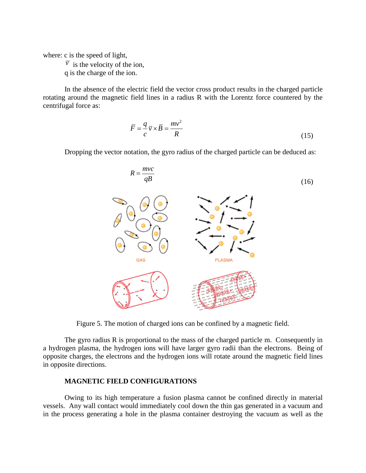where: c is the speed of light,

 $\overline{v}$  is the velocity of the ion,

q is the charge of the ion.

In the absence of the electric field the vector cross product results in the charged particle rotating around the magnetic field lines in a radius R with the Lorentz force countered by the centrifugal force as:

$$
\overline{F} = \frac{q}{c} \overline{v} \times \overline{B} = \frac{mv^2}{R}
$$
 (15)

Dropping the vector notation, the gyro radius of the charged particle can be deduced as:



Figure 5. The motion of charged ions can be confined by a magnetic field.

The gyro radius R is proportional to the mass of the charged particle m. Consequently in a hydrogen plasma, the hydrogen ions will have larger gyro radii than the electrons. Being of opposite charges, the electrons and the hydrogen ions will rotate around the magnetic field lines in opposite directions.

#### **MAGNETIC FIELD CONFIGURATIONS**

Owing to its high temperature a fusion plasma cannot be confined directly in material vessels. Any wall contact would immediately cool down the thin gas generated in a vacuum and in the process generating a hole in the plasma container destroying the vacuum as well as the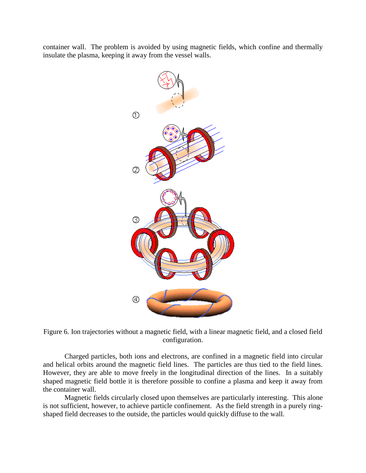container wall. The problem is avoided by using magnetic fields, which confine and thermally insulate the plasma, keeping it away from the vessel walls.



Figure 6. Ion trajectories without a magnetic field, with a linear magnetic field, and a closed field configuration.

Charged particles, both ions and electrons, are confined in a magnetic field into circular and helical orbits around the magnetic field lines. The particles are thus tied to the field lines. However, they are able to move freely in the longitudinal direction of the lines. In a suitably shaped magnetic field bottle it is therefore possible to confine a plasma and keep it away from the container wall.

Magnetic fields circularly closed upon themselves are particularly interesting. This alone is not sufficient, however, to achieve particle confinement. As the field strength in a purely ringshaped field decreases to the outside, the particles would quickly diffuse to the wall.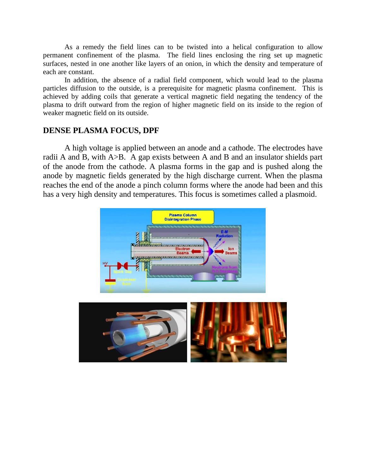As a remedy the field lines can to be twisted into a helical configuration to allow permanent confinement of the plasma. The field lines enclosing the ring set up magnetic surfaces, nested in one another like layers of an onion, in which the density and temperature of each are constant.

In addition, the absence of a radial field component, which would lead to the plasma particles diffusion to the outside, is a prerequisite for magnetic plasma confinement. This is achieved by adding coils that generate a vertical magnetic field negating the tendency of the plasma to drift outward from the region of higher magnetic field on its inside to the region of weaker magnetic field on its outside.

## **DENSE PLASMA FOCUS, DPF**

A high voltage is applied between an anode and a cathode. The electrodes have radii A and B, with A>B. A gap exists between A and B and an insulator shields part of the anode from the cathode. A plasma forms in the gap and is pushed along the anode by magnetic fields generated by the high discharge current. When the plasma reaches the end of the anode a pinch column forms where the anode had been and this has a very high density and temperatures. This focus is sometimes called a plasmoid.

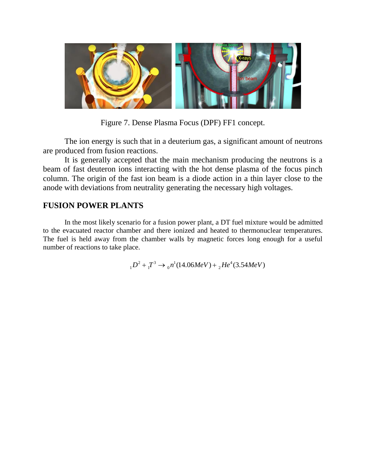

Figure 7. Dense Plasma Focus (DPF) FF1 concept.

The ion energy is such that in a deuterium gas, a significant amount of neutrons are produced from fusion reactions.

It is generally accepted that the main mechanism producing the neutrons is a beam of fast deuteron ions interacting with the hot dense plasma of the focus pinch column. The origin of the fast ion beam is a diode action in a thin layer close to the anode with deviations from neutrality generating the necessary high voltages.

# **FUSION POWER PLANTS**

In the most likely scenario for a fusion power plant, a DT fuel mixture would be admitted to the evacuated reactor chamber and there ionized and heated to thermonuclear temperatures. The fuel is held away from the chamber walls by magnetic forces long enough for a useful number of reactions to take place.

 $2^2 + T^3 \rightarrow r^1 (14.06 MeV) + F^4$ 1  $10^2 + T^3 \rightarrow 0^n (14.06 MeV) + 2He^4 (3.54 MeV)$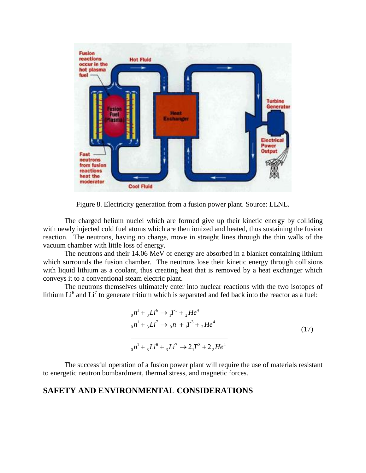

Figure 8. Electricity generation from a fusion power plant. Source: LLNL.

The charged helium nuclei which are formed give up their kinetic energy by colliding with newly injected cold fuel atoms which are then ionized and heated, thus sustaining the fusion reaction. The neutrons, having no charge, move in straight lines through the thin walls of the vacuum chamber with little loss of energy.

The neutrons and their 14.06 MeV of energy are absorbed in a blanket containing lithium which surrounds the fusion chamber. The neutrons lose their kinetic energy through collisions with liquid lithium as a coolant, thus creating heat that is removed by a heat exchanger which conveys it to a conventional steam electric plant.

The neutrons themselves ultimately enter into nuclear reactions with the two isotopes of lithium  $Li^6$  and  $Li^7$  to generate tritium which is separated and fed back into the reactor as a fuel:

$$
{}_{0}n^{1} + {}_{3}Li^{6} \rightarrow {}_{1}T^{3} + {}_{2}He^{4}
$$
  
\n
$$
{}_{0}n^{1} + {}_{3}Li^{7} \rightarrow {}_{0}n^{1} + {}_{1}T^{3} + {}_{2}He^{4}
$$
  
\n
$$
{}_{0}n^{1} + {}_{3}Li^{6} + {}_{3}Li^{7} \rightarrow 2{}_{1}T^{3} + 2{}_{2}He^{4}
$$
\n(17)

The successful operation of a fusion power plant will require the use of materials resistant to energetic neutron bombardment, thermal stress, and magnetic forces.

### **SAFETY AND ENVIRONMENTAL CONSIDERATIONS**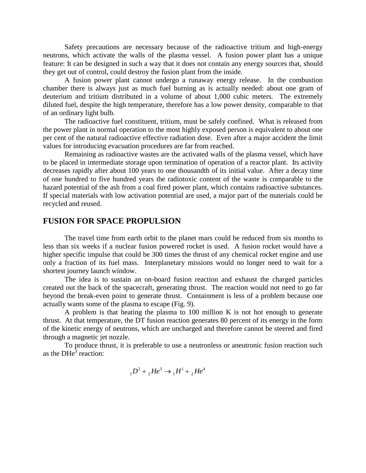Safety precautions are necessary because of the radioactive tritium and high-energy neutrons, which activate the walls of the plasma vessel. A fusion power plant has a unique feature: It can be designed in such a way that it does not contain any energy sources that, should they get out of control, could destroy the fusion plant from the inside.

A fusion power plant cannot undergo a runaway energy release. In the combustion chamber there is always just as much fuel burning as is actually needed: about one gram of deuterium and tritium distributed in a volume of about 1,000 cubic meters. The extremely diluted fuel, despite the high temperature, therefore has a low power density, comparable to that of an ordinary light bulb.

The radioactive fuel constituent, tritium, must be safely confined. What is released from the power plant in normal operation to the most highly exposed person is equivalent to about one per cent of the natural radioactive effective radiation dose. Even after a major accident the limit values for introducing evacuation procedures are far from reached.

Remaining as radioactive wastes are the activated walls of the plasma vessel, which have to be placed in intermediate storage upon termination of operation of a reactor plant. Its activity decreases rapidly after about 100 years to one thousandth of its initial value. After a decay time of one hundred to five hundred years the radiotoxic content of the waste is comparable to the hazard potential of the ash from a coal fired power plant, which contains radioactive substances. If special materials with low activation potential are used, a major part of the materials could be recycled and reused.

## **FUSION FOR SPACE PROPULSION**

The travel time from earth orbit to the planet mars could be reduced from six months to less than six weeks if a nuclear fusion powered rocket is used. A fusion rocket would have a higher specific impulse that could be 300 times the thrust of any chemical rocket engine and use only a fraction of its fuel mass. Interplanetary missions would no longer need to wait for a shortest journey launch window.

The idea is to sustain an on-board fusion reaction and exhaust the charged particles created out the back of the spacecraft, generating thrust. The reaction would not need to go far beyond the break-even point to generate thrust. Containment is less of a problem because one actually wants some of the plasma to escape (Fig. 9).

A problem is that heating the plasma to 100 million K is not hot enough to generate thrust. At that temperature, the DT fusion reaction generates 80 percent of its energy in the form of the kinetic energy of neutrons, which are uncharged and therefore cannot be steered and fired through a magnetic jet nozzle.

To produce thrust, it is preferable to use a neutronless or aneutronic fusion reaction such as the  $DHe<sup>3</sup>$  reaction:

$$
{}_{1}D^{2} + {}_{2}He^{3} \rightarrow {}_{1}H^{1} + {}_{2}He^{4}
$$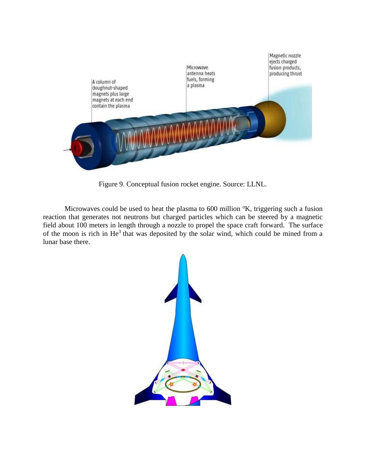

Figure 9. Conceptual fusion rocket engine. Source: LLNL.

Microwaves could be used to heat the plasma to  $600$  million  $K$ , triggering such a fusion reaction that generates not neutrons but charged particles which can be steered by a magnetic field about 100 meters in length through a nozzle to propel the space craft forward. The surface of the moon is rich in  $He<sup>3</sup>$  that was deposited by the solar wind, which could be mined from a lunar base there.

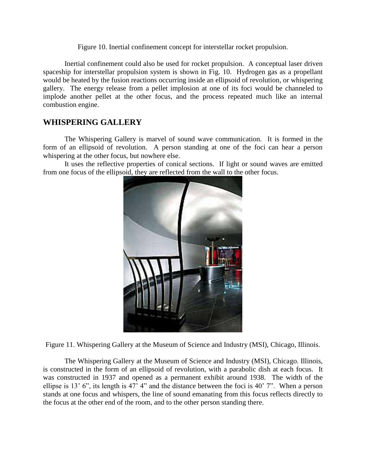Figure 10. Inertial confinement concept for interstellar rocket propulsion.

Inertial confinement could also be used for rocket propulsion. A conceptual laser driven spaceship for interstellar propulsion system is shown in Fig. 10. Hydrogen gas as a propellant would be heated by the fusion reactions occurring inside an ellipsoid of revolution, or whispering gallery. The energy release from a pellet implosion at one of its foci would be channeled to implode another pellet at the other focus, and the process repeated much like an internal combustion engine.

# **WHISPERING GALLERY**

The Whispering Gallery is marvel of sound wave communication. It is formed in the form of an ellipsoid of revolution. A person standing at one of the foci can hear a person whispering at the other focus, but nowhere else.

It uses the reflective properties of conical sections. If light or sound waves are emitted from one focus of the ellipsoid, they are reflected from the wall to the other focus.



Figure 11. Whispering Gallery at the Museum of Science and Industry (MSI), Chicago, Illinois.

The Whispering Gallery at the Museum of Science and Industry (MSI), Chicago. Illinois, is constructed in the form of an ellipsoid of revolution, with a parabolic dish at each focus. It was constructed in 1937 and opened as a permanent exhibit around 1938. The width of the ellipse is 13' 6", its length is 47' 4" and the distance between the foci is 40' 7". When a person stands at one focus and whispers, the line of sound emanating from this focus reflects directly to the focus at the other end of the room, and to the other person standing there.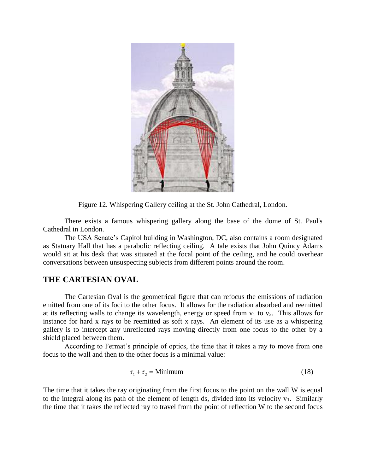

Figure 12. Whispering Gallery ceiling at the St. John Cathedral, London.

There exists a famous whispering gallery along the base of the dome of St. Paul's Cathedral in London.

The USA Senate's Capitol building in Washington, DC, also contains a room designated as Statuary Hall that has a parabolic reflecting ceiling. A tale exists that John Quincy Adams would sit at his desk that was situated at the focal point of the ceiling, and he could overhear conversations between unsuspecting subjects from different points around the room.

### **THE CARTESIAN OVAL**

The Cartesian Oval is the geometrical figure that can refocus the emissions of radiation emitted from one of its foci to the other focus. It allows for the radiation absorbed and reemitted at its reflecting walls to change its wavelength, energy or speed from  $v_1$  to  $v_2$ . This allows for instance for hard x rays to be reemitted as soft x rays. An element of its use as a whispering gallery is to intercept any unreflected rays moving directly from one focus to the other by a shield placed between them.

According to Fermat's principle of optics, the time that it takes a ray to move from one focus to the wall and then to the other focus is a minimal value:

$$
\tau_1 + \tau_2 = \text{Minimum} \tag{18}
$$

The time that it takes the ray originating from the first focus to the point on the wall W is equal to the integral along its path of the element of length ds, divided into its velocity  $v_1$ . Similarly the time that it takes the reflected ray to travel from the point of reflection W to the second focus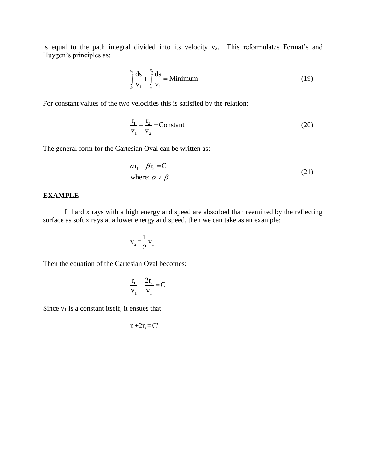is equal to the path integral divided into its velocity  $v_2$ . This reformulates Fermat's and Huygen's principles as:

$$
\int_{F_1}^{W} \frac{ds}{v_1} + \int_{W}^{F_2} \frac{ds}{v_1} = \text{Minimum}
$$
\n(19)

For constant values of the two velocities this is satisfied by the relation:

$$
\frac{\mathbf{r}_1}{\mathbf{v}_1} + \frac{\mathbf{r}_2}{\mathbf{v}_2} = \text{Constant} \tag{20}
$$

The general form for the Cartesian Oval can be written as:

$$
\alpha r_1 + \beta r_2 = C
$$
  
where:  $\alpha \neq \beta$  (21)

#### **EXAMPLE**

If hard x rays with a high energy and speed are absorbed than reemitted by the reflecting surface as soft x rays at a lower energy and speed, then we can take as an example:

$$
v_2 = \frac{1}{2} v_1
$$

Then the equation of the Cartesian Oval becomes:

$$
\frac{r_1}{v_1} + \frac{2r_2}{v_1} = C
$$

Since  $v_1$  is a constant itself, it ensues that:

$$
r_1+2r_2=C
$$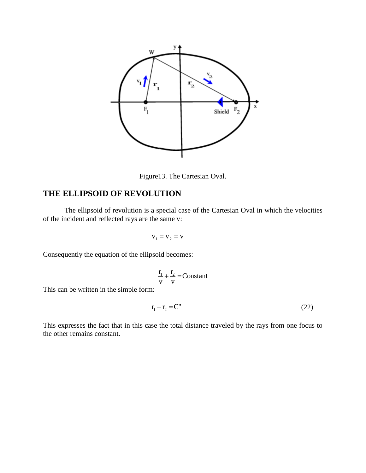

Figure13. The Cartesian Oval.

# **THE ELLIPSOID OF REVOLUTION**

The ellipsoid of revolution is a special case of the Cartesian Oval in which the velocities of the incident and reflected rays are the same v:

$$
\mathbf{v}_1 = \mathbf{v}_2 = \mathbf{v}
$$

Consequently the equation of the ellipsoid becomes:

$$
\frac{r_1}{v} + \frac{r_2}{v} = Constant
$$

This can be written in the simple form:

$$
\mathbf{r}_1 + \mathbf{r}_2 = \mathbf{C}^{\prime\prime} \tag{22}
$$

This expresses the fact that in this case the total distance traveled by the rays from one focus to the other remains constant.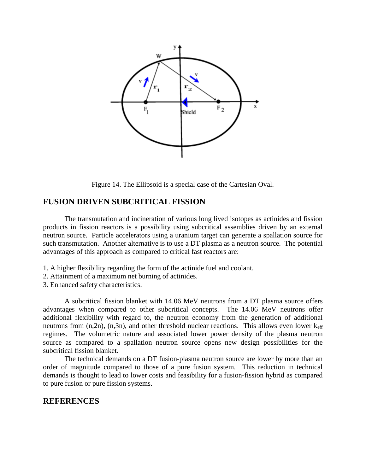

Figure 14. The Ellipsoid is a special case of the Cartesian Oval.

### **FUSION DRIVEN SUBCRITICAL FISSION**

The transmutation and incineration of various long lived isotopes as actinides and fission products in fission reactors is a possibility using subcritical assemblies driven by an external neutron source. Particle accelerators using a uranium target can generate a spallation source for such transmutation. Another alternative is to use a DT plasma as a neutron source. The potential advantages of this approach as compared to critical fast reactors are:

- 1. A higher flexibility regarding the form of the actinide fuel and coolant.
- 2. Attainment of a maximum net burning of actinides.
- 3. Enhanced safety characteristics.

A subcritical fission blanket with 14.06 MeV neutrons from a DT plasma source offers advantages when compared to other subcritical concepts. The 14.06 MeV neutrons offer additional flexibility with regard to, the neutron economy from the generation of additional neutrons from  $(n,2n)$ ,  $(n,3n)$ , and other threshold nuclear reactions. This allows even lower  $k_{\text{eff}}$ regimes. The volumetric nature and associated lower power density of the plasma neutron source as compared to a spallation neutron source opens new design possibilities for the subcritical fission blanket.

The technical demands on a DT fusion-plasma neutron source are lower by more than an order of magnitude compared to those of a pure fusion system. This reduction in technical demands is thought to lead to lower costs and feasibility for a fusion-fission hybrid as compared to pure fusion or pure fission systems.

#### **REFERENCES**